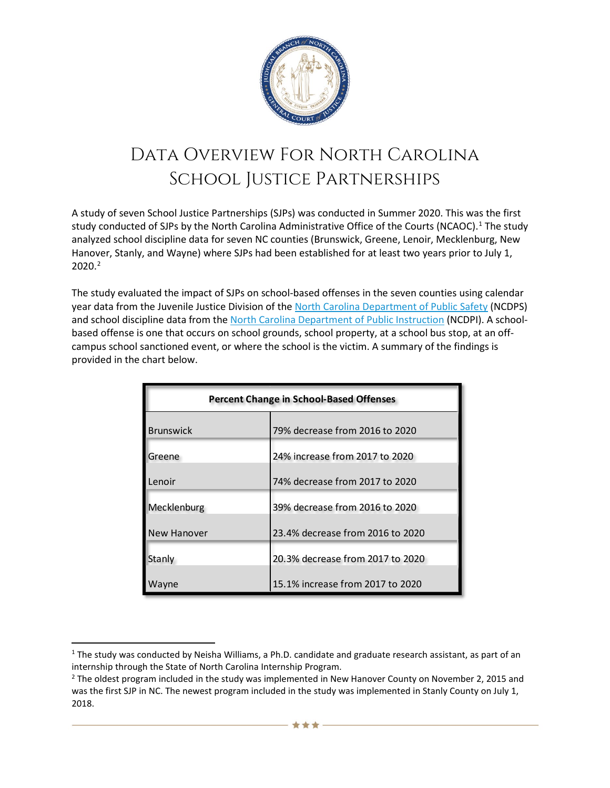

## Data Overview For North Carolina School Justice Partnerships

A study of seven School Justice Partnerships (SJPs) was conducted in Summer 2020. This was the first study conducted of SJPs by the North Carolina Administrative Office of the Courts (NCAOC). [1](#page-0-0) The study analyzed school discipline data for seven NC counties (Brunswick, Greene, Lenoir, Mecklenburg, New Hanover, Stanly, and Wayne) where SJPs had been established for at least two years prior to July 1, 2020. [2](#page-0-1)

The study evaluated the impact of SJPs on school-based offenses in the seven counties using calendar year data from the Juvenile Justice Division of the [North Carolina Department of Public Safety](https://www.ncdps.gov/Juvenile-Justice/Community-Programs/Juvenile-Crime-Prevention-Councils/JCPC-Planning-Process/County-Databooks) (NCDPS) and school discipline data from the [North Carolina Department of Public Instruction](https://www.dpi.nc.gov/data-reports/dropout-and-discipline-data/discipline-alp-and-dropout-annual-reports) (NCDPI). A schoolbased offense is one that occurs on school grounds, school property, at a school bus stop, at an offcampus school sanctioned event, or where the school is the victim. A summary of the findings is provided in the chart below.

| <b>Percent Change in School-Based Offenses</b> |                                  |
|------------------------------------------------|----------------------------------|
| <b>Brunswick</b>                               | 79% decrease from 2016 to 2020   |
| Greene                                         | 24% increase from 2017 to 2020   |
| Lenoir                                         | 74% decrease from 2017 to 2020   |
| Mecklenburg                                    | 39% decrease from 2016 to 2020   |
| <b>New Hanover</b>                             | 23.4% decrease from 2016 to 2020 |
| Stanly                                         | 20.3% decrease from 2017 to 2020 |
| ayne                                           | 15.1% increase from 2017 to 2020 |

<span id="page-0-0"></span> $1$  The study was conducted by Neisha Williams, a Ph.D. candidate and graduate research assistant, as part of an internship through the State of North Carolina Internship Program.

<span id="page-0-1"></span> $2$  The oldest program included in the study was implemented in New Hanover County on November 2, 2015 and was the first SJP in NC. The newest program included in the study was implemented in Stanly County on July 1, 2018.